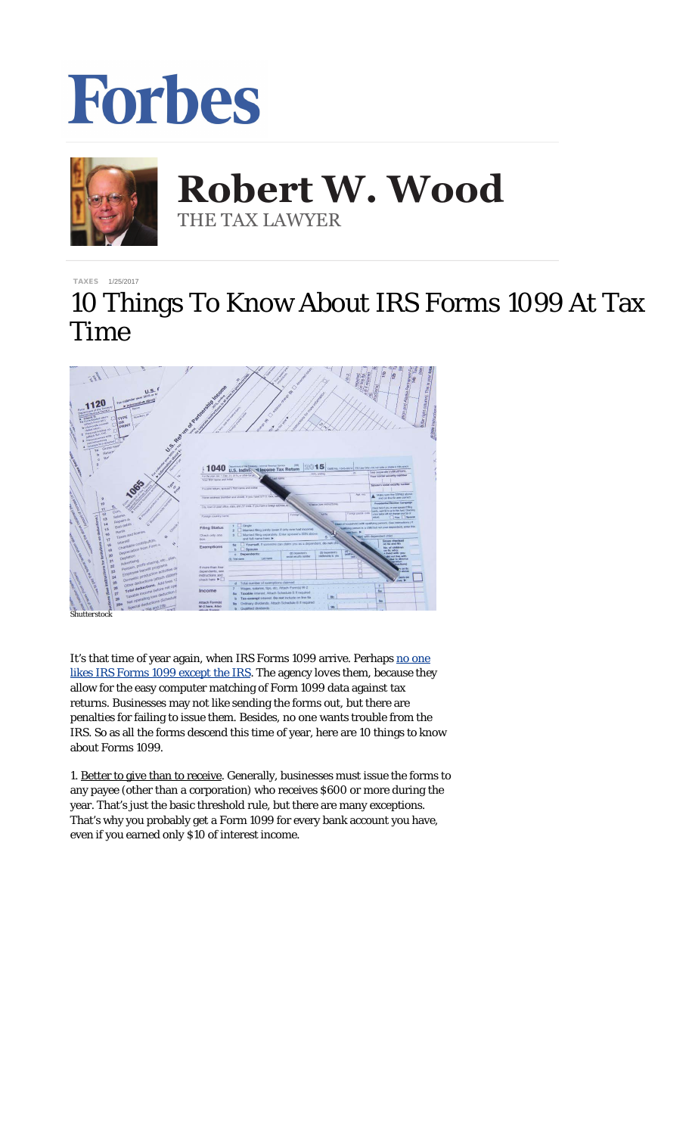



**Robert W. Wood Robert W. Wood** THE TAX LAWYER THE TAX LAWYER

[TAXES](http://www.forbes.com/taxes) 1/25/2017

## 10 Things To Know About IRS Forms 1099 At Tax Time



*Shutterstock*

It's that time of year again, when IRS Forms 1099 arrive. Perhaps [no one](http://www.forbes.com/sites/robertwood/2015/01/21/why-irs-form-1099-is-so-dangerous-to-your-tax-bill/) [likes IRS Forms 1099 except the IRS](http://www.forbes.com/sites/robertwood/2015/01/21/why-irs-form-1099-is-so-dangerous-to-your-tax-bill/). The agency *loves* them, because they allow for the easy computer matching of Form 1099 data against tax returns. Businesses may not like sending the forms out, but there are penalties for failing to issue them. Besides, no one wants trouble from the IRS. So as all the forms descend this time of year, here are 10 things to know about Forms 1099.

1. Better to give than to receive. Generally, businesses must issue the forms to any payee (other than a corporation) who receives \$600 or more during the year. That's just the basic threshold rule, but there are many exceptions. That's why you probably get a Form 1099 for every bank account you have, even if you earned only \$10 of interest income.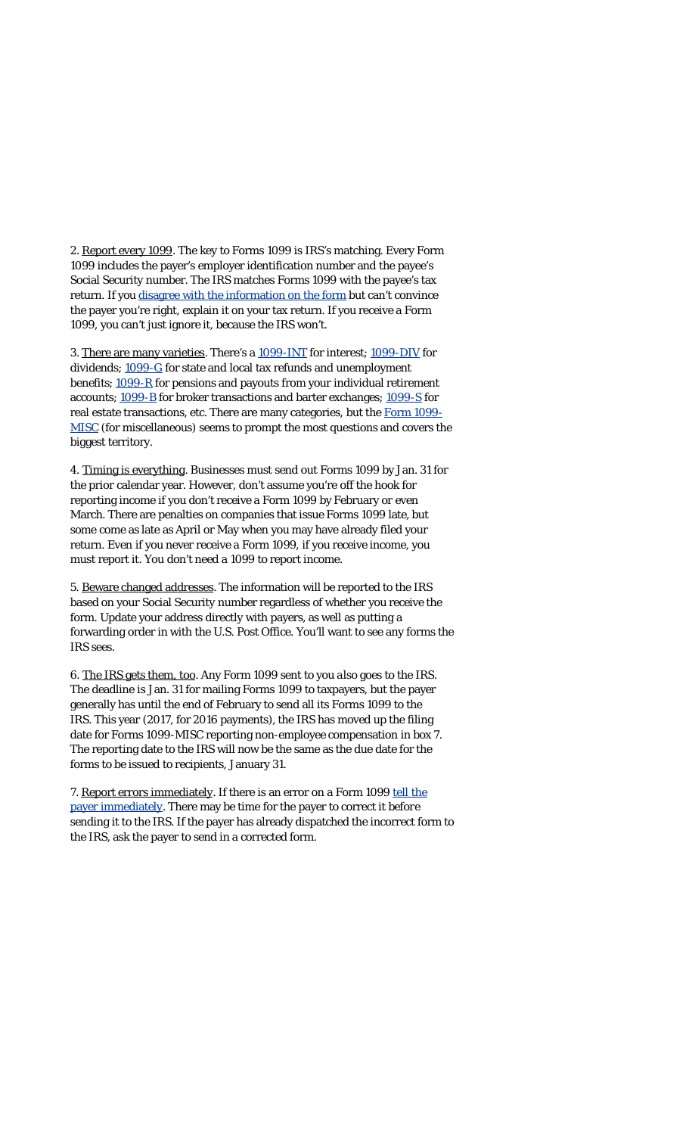2. Report every 1099. The key to Forms 1099 is IRS's matching. Every Form 1099 includes the payer's employer identification number and the payee's Social Security number. The IRS matches Forms 1099 with the payee's tax return. If you [disagree with the information on the form](http://www.forbes.com/sites/robertwood/2015/01/28/disagree-with-an-irs-form-1099-heres-what-to-do/) but can't convince the payer you're right, explain it on your tax return. If you receive a Form 1099, you can't just ignore it, because the IRS won't.

3. There are many varieties. There's a [1099-INT](http://www.irs.gov/pub/irs-pdf/f1099int.pdf) for interest; [1099-DIV](http://www.irs.gov/pub/irs-pdf/f1099div.pdf) for dividends; [1099-G](http://www.irs.gov/pub/irs-pdf/f1099g.pdf) for state and local tax refunds and unemployment benefits; [1099-R](http://www.irs.gov/pub/irs-pdf/f1099r.pdf) for pensions and payouts from your individual retirement accounts; [1099-B](http://www.irs.gov/pub/irs-pdf/f1099b.pdf) for broker transactions and barter exchanges; [1099-S](http://www.irs.gov/pub/irs-pdf/f1099s.pdf) for real estate transactions, etc. There are many categories, but the [Form 1099-](https://www.irs.gov/pub/irs-prior/f1099msc--2016.pdf) [MISC](https://www.irs.gov/pub/irs-prior/f1099msc--2016.pdf) (for miscellaneous) seems to prompt the most questions and covers the biggest territory.

4. Timing is everything. Businesses must send out Forms 1099 by Jan. 31 for the prior calendar year. However, don't assume you're off the hook for reporting income if you don't receive a Form 1099 by February or even March. There are penalties on companies that issue Forms 1099 late, but some come as late as April or May when you may have already filed your return. Even if you never receive a Form 1099, if you receive income, you must report it. You don't need a 1099 to report income.

5. Beware changed addresses. The information will be reported to the IRS based on your Social Security number regardless of whether you receive the form. Update your address directly with payers, as well as putting a forwarding order in with the U.S. Post Office. You'll want to see any forms the IRS sees.

6. The IRS gets them, too. Any Form 1099 sent to you *also* goes to the IRS. The deadline is Jan. 31 for mailing Forms 1099 to taxpayers, but the payer generally has until the end of February to send all its Forms 1099 to the IRS. This year (2017, for 2016 payments), the IRS has moved up the filing date for Forms 1099-MISC reporting non-employee compensation in box 7. The reporting date to the IRS will now be the same as the due date for the forms to be issued to recipients, January 31.

7. Report errors immediately. If there is an error on a Form 1099 [tell the](http://www.forbes.com/sites/robertwood/2015/01/28/disagree-with-an-irs-form-1099-heres-what-to-do/) [payer immediately](http://www.forbes.com/sites/robertwood/2015/01/28/disagree-with-an-irs-form-1099-heres-what-to-do/). There may be time for the payer to correct it *before* sending it to the IRS. If the payer has already dispatched the incorrect form to the IRS, ask the payer to send in a corrected form.